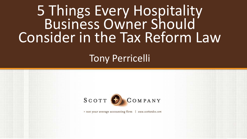### 5 Things Every Hospitality Business Owner Should Consider in the Tax Reform Law

#### Tony Perricelli

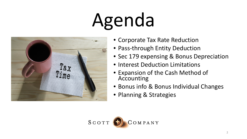# Agenda



- Corporate Tax Rate Reduction
- Pass-through Entity Deduction
- Sec 179 expensing & Bonus Depreciation
- Interest Deduction Limitations
- Expansion of the Cash Method of Accounting
- Bonus info & Bonus Individual Changes
- Planning & Strategies

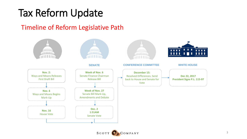### Tax Reform Update

#### Timeline of Reform Legislative Path



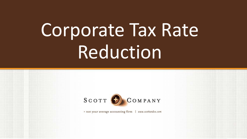## Corporate Tax Rate Reduction

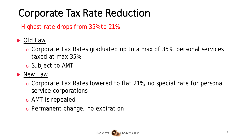### Corporate Tax Rate Reduction

Highest rate drops from 35% to 21%

#### *Old Law*

- o Corporate Tax Rates graduated up to a max of 35%, personal services taxed at max 35%
- o Subject to AMT
- *New Law*
	- o Corporate Tax Rates lowered to flat 21%, no special rate for personal service corporations
	- o AMT is repealed
	- o Permanent change, no expiration

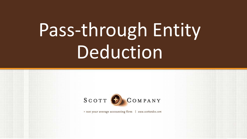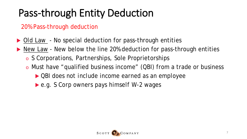20% Pass-through deduction

- ▶ *Old Law* No special deduction for pass-through entities
- ▶ *New Law* New below the line 20% deduction for pass-through entities
	- o S Corporations, Partnerships, Sole Proprietorships
	- o Must have "qualified business income" (QBI) from a trade or business
		- *QBI does not include income earned as an employee*
		- *e.g. S Corp owners pays himself W-2 wages*

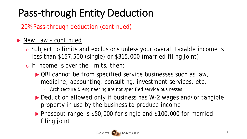20% Pass-through deduction (continued)

#### *New Law - continued*

- o Subject to limits and exclusions unless your overall taxable income is less than \$157,500 (single) or \$315,000 (married filing joint)
- o If income is over the limits, then:
	- ▶ QBI cannot be from specified service businesses such as law, medicine, accounting, consulting, investment services, etc.
		- o Architecture & engineering are not specified service businesses
	- ▶ Deduction allowed only if business has W-2 wages and/or tangible property in use by the business to produce income
	- ▶ Phaseout range is \$50,000 for single and \$100,000 for married filing joint

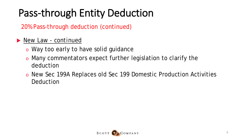20% Pass-through deduction (continued)

- *New Law - continued*
	- o Way too early to have solid guidance
	- o Many commentators expect further legislation to clarify the deduction
	- o New Sec 199A Replaces old Sec 199 Domestic Production Activities Deduction

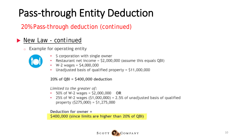#### 20% Pass-through deduction (continued)

#### *New Law - continued*

Example for operating entity



- S corporation with single owner
- Restaurant net income = \$2,000,000 (assume this equals QBI)
- $W-2$  wages =  $$4,000,000$
- Unadjusted basis of qualified property = \$11,000,000

#### $20\%$  of QBI = \$400,000 deduction

Limited to the greater of:

- 50% of W-2 wages =  $$2,000,000$  OR
- 25% of W-2 wages (\$1,000,000) + 2.5% of unadjusted basis of qualified property  $(5275,000) = 51,275,000$

Deduction for owner  $=$ \$400,000 (since limits are higher than 20% of QBI)

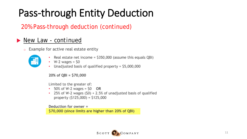#### 20% Pass-through deduction (continued)

#### *New Law - continued*

Example for active real estate entity  $\circ$ 



- Real estate net income = \$350,000 (assume this equals QBI)
- $W-2$  wages =  $50$
- Unadjusted basis of qualified property =  $$5,000,000$

 $20\%$  of QBI = \$70,000

Limited to the greater of:

- 50% of W-2 wages =  $$0$  OR
- 25% of W-2 wages  $(50) + 2.5%$  of unadjusted basis of qualified property  $(5125,000) = 5125,000$

Deduction for owner =

\$70,000 (since limits are higher than 20% of QBI).

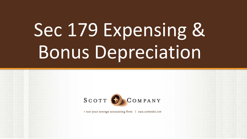

= not your average accounting firm www.scottandco.com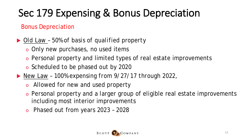#### Bonus Depreciation

#### *Old Law – 50% of basis of qualified property*

- o Only new purchases, no used items
- o Personal property and limited types of real estate improvements
- o Scheduled to be phased out by 2020
- *New Law – 100% expensing from 9/27/17 through 2022,*
	- o Allowed for new and used property
	- o Personal property and a larger group of eligible real estate improvements including most interior improvements
	- o Phased out from years 2023 2028

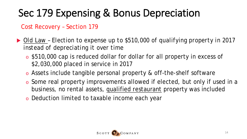Cost Recovery – Section 179

- *Old Law – Election to expense up to \$510,000 of qualifying property in 2017 instead of depreciating it over time*
	- o \$510,000 cap is reduced dollar for dollar for all property in excess of \$2,030,000 placed in service in 2017
	- o Assets include tangible personal property & off-the-shelf software
	- o Some real property improvements allowed if elected, but only if used in a business, no rental assets, qualified restaurant property was included
	- o Deduction limited to taxable income each year

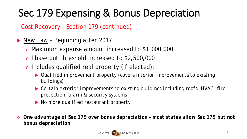Cost Recovery – Section 179 (continued)

- *New Law – Beginning after 2017*
	- o Maximum expense amount increased to \$1,000,000
	- o Phase out threshold increased to \$2,500,000
	- o Includes qualified real property (if elected):
		- *Qualified improvement property (covers interior improvements to existing buildings)*
		- *Certain exterior improvements to existing buildings including roofs, HVAC, fire protection, alarm & security systems*
		- *No more qualified restaurant property*
- *One advantage of Sec 179 over bonus depreciation – most states allow Sec 179 but not bonus depreciation*

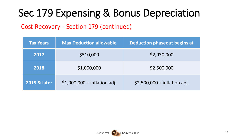Cost Recovery – Section 179 (continued)

| <b>Tax Years</b>        | <b>Max Deduction allowable</b> | <b>Deduction phaseout begins at</b> |
|-------------------------|--------------------------------|-------------------------------------|
| 2017                    | \$510,000                      | \$2,030,000                         |
| 2018                    | \$1,000,000                    | \$2,500,000                         |
| <b>2019 &amp; later</b> | $$1,000,000 + inflation$ adj.  | $$2,500,000 + inflation$ adj.       |

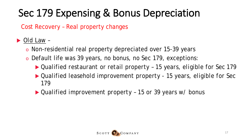Cost Recovery – Real property changes

#### *Old Law –*

- o Non-residential real property depreciated over 15-39 years
- o Default life was 39 years, no bonus, no Sec 179, exceptions:
	- *Qualified restaurant or retail property – 15 years, eligible for Sec 179*
	- *Qualified leasehold improvement property - 15 years, eligible for Sec 179*
	- *Qualified improvement property – 15 or 39 years w/ bonus*

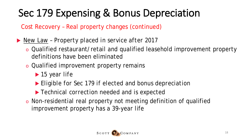Cost Recovery – Real property changes (continued)

*New Law – Property placed in service after 2017*

- o Qualified restaurant/retail and qualified leasehold improvement property definitions have been eliminated
- o Qualified improvement property remains
	- *15 year life*
	- *Eligible for Sec 179 if elected and bonus depreciation*
	- *Technical correction needed and is expected*
- o Non-residential real property not meeting definition of qualified improvement property has a 39-year life

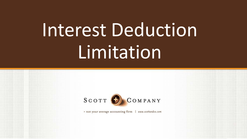## Interest Deduction Limitation

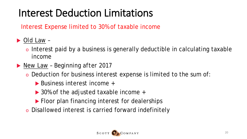#### Interest Deduction Limitations

Interest Expense limited to 30% of taxable income

#### *Old Law –*

- o Interest paid by a business is generally deductible in calculating taxable income
- *New Law – Beginning after 2017*
	- o Deduction for business interest expense is limited to the sum of:
		- ▶ Business interest income +
		- ▶ 30% of the adjusted taxable income +
		- **Floor plan financing interest for dealerships**
	- o Disallowed interest is carried forward indefinitely

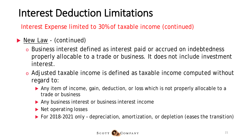#### Interest Deduction Limitations

Interest Expense limited to 30% of taxable income (continued)

#### *New Law - (continued)*

- o Business interest defined as interest paid or accrued on indebtedness properly allocable to a trade or business. It does not include investment interest.
- o Adjusted taxable income is defined as taxable income computed without regard to:
	- Any item of income, gain, deduction, or loss which is not properly allocable to a trade or business
	- Any business interest or business interest income
	- ▶ Net operating losses
	- ▶ For 2018-2021 only depreciation, amortization, or depletion (eases the transition)

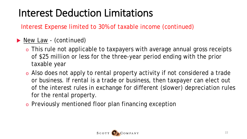#### Interest Deduction Limitations

Interest Expense limited to 30% of taxable income (continued)

#### *New Law - (continued)*

- o This rule not applicable to taxpayers with average annual gross receipts of \$25 million or less for the three-year period ending with the prior taxable year
- o Also does not apply to rental property activity if not considered a trade or business. If rental is a trade or business, then taxpayer can elect out of the interest rules in exchange for different (slower) depreciation rules for the rental property.
- o Previously mentioned floor plan financing exception

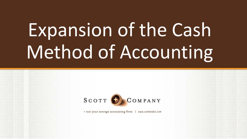## Expansion of the Cash Method of Accounting



= not your average accounting firm www.scottandco.com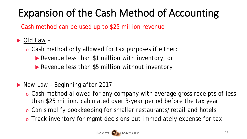### Expansion of the Cash Method of Accounting

Cash method can be used up to \$25 million revenue

#### *Old Law –*

- o Cash method only allowed for tax purposes if either:
	- *Revenue less than \$1 million with inventory, or*
	- *Revenue less than \$5 million without inventory*

#### *New Law – Beginning after 2017*

- o Cash method allowed for any company with average gross receipts of less than \$25 million, calculated over 3-year period before the tax year
- o Can simplify bookkeeping for smaller restaurants/retail and hotels
- o Track inventory for mgmt decisions but immediately expense for tax

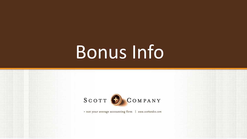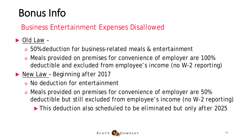#### Business Entertainment Expenses Disallowed

#### *Old Law –*

- o 50% deduction for business-related meals & entertainment
- o Meals provided on premises for convenience of employer are 100% deductible and excluded from employee's income (no W-2 reporting)
- *New Law – Beginning after 2017*
	- o No deduction for entertainment
	- o Meals provided on premises for convenience of employer are 50% deductible but still excluded from employee's income (no W-2 reporting)
		- *This deduction also scheduled to be eliminated but only after 2025*

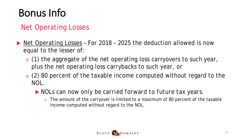#### Net Operating Losses

- *Net Operating Losses* For 2018 2025 the deduction allowed is now equal to the lesser of:
	- o (1) the aggregate of the net operating loss carryovers to such year, plus the net operating loss carrybacks to such year, or
	- $\circ$  (2) 80 percent of the taxable income computed without regard to the NOL.
		- *NOLs can now only be carried forward to future tax years.* 
			- $\circ$  The amount of the carryover is limited to a maximum of 80 percent of the taxable income computed without regard to the NOL.

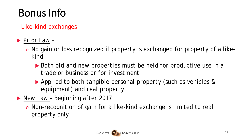Like-kind exchanges

*Prior Law –*

- o No gain or loss recognized if property is exchanged for property of a likekind
	- *Both old and new properties must be held for productive use in a trade or business or for investment*
	- *Applied to both tangible personal property (such as vehicles & equipment) and real property*
- *New Law – Beginning after 2017*
	- o Non-recognition of gain for a like-kind exchange is limited to real property only

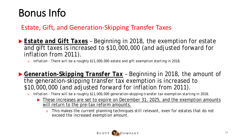#### Estate, Gift, and Generation-Skipping Transfer Taxes

- *Estate and Gift Taxes* Beginning in 2018, the exemption for estate and gift taxes is increased to \$10,000,000 (and adjusted forward for inflation from 2011).
	- Inflation There will be a roughly \$11,000,000 estate and gift exemption starting in 2018.
- *Generation-Skipping Transfer Tax* Beginning in 2018, the amount of the generation-skipping transfer tax exemption is increased to \$10,000,000 (and adjusted forward for inflation from 2011).
	- o *Inflation - There will be a roughly \$11,000,000 generation-skipping transfer tax exemption starting in 2018.*
		- These increases are set to expire on December 31, 2025, and the exemption amounts will return to the pre-tax reform amounts.
			- o *This makes the current planning techniques still relevant, even for estates that do not exceed the increased exemption amount.*

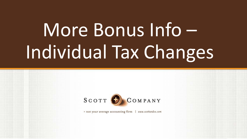## More Bonus Info – Individual Tax Changes

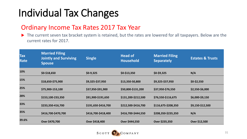#### Ordinary Income Tax Rates 2017 Tax Year

The current seven tax bracket system is retained, but the rates are lowered for all taxpayers. Below are the current rates for 2017.

| <b>Tax</b><br>Rate | <b>Married Filing</b><br><b>Jointly and Surviving</b><br><b>Spouse</b> | <b>Single</b>       | <b>Head of</b><br><b>Household</b> | <b>Married Filing</b><br><b>Separately</b> | <b>Estates &amp; Trusts</b> |
|--------------------|------------------------------------------------------------------------|---------------------|------------------------------------|--------------------------------------------|-----------------------------|
| 10%                | $$0-$18,650$                                                           | $$0-9,325$          | $$0-$13,350$                       | $$0-$9,325$                                | N/A                         |
| 15%                | \$18,650-\$75,900                                                      | \$9,325-\$37,950    | \$13,350-50,800                    | \$9,325-\$37,950                           | $$0-$2,550$                 |
| 25%                | \$75,900-153,100                                                       | \$37,950-\$91,900   | \$50,800-\$131,200                 | \$37,950-\$76,550                          | \$2,550-\$6,000             |
| 28%                | \$153,100-233,350                                                      | \$91,900-\$191,650  | \$131,200-\$212,500                | \$76,550-\$116,675                         | \$6,000-\$9,150             |
| 33%                | \$233,350-416,700                                                      | \$191,650-\$416,700 | \$212,500-\$416,700                | \$116,675-\$208,350                        | \$9,150-\$12,500            |
| 35%                | \$416,700-\$470,700                                                    | \$416,700-\$418,400 | \$416,700-\$444,550                | \$208,350-\$235,350                        | N/A                         |
| 39.6%              | Over \$470,700                                                         | Over \$418,400      | Over \$444,550                     | Over \$235,350                             | Over \$12,500               |

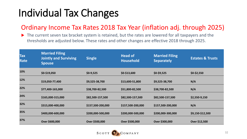#### Ordinary Income Tax Rates 2018 Tax Year (inflation adj. through 2025)

The current seven tax bracket system is retained, but the rates are lowered for all taxpayers and the thresholds are adjusted below. These rates and other changes are effective 2018 through 2025.

| <b>Tax</b><br>Rate | <b>Married Filing</b><br><b>Jointly and Surviving</b><br><b>Spouse</b> | <b>Single</b>     | <b>Head of</b><br><b>Household</b> | <b>Married Filing</b><br><b>Separately</b> | <b>Estates &amp; Trusts</b> |
|--------------------|------------------------------------------------------------------------|-------------------|------------------------------------|--------------------------------------------|-----------------------------|
| 10%                | $$0-$19,050$                                                           | $$0-9,525$        | $$0-$13,600$                       | $$0-$9,525$                                | $$0-$2,550$                 |
| 12%                | \$19,050-77,400                                                        | \$9,525-38,700    | \$13,600-51,800                    | \$9,525-38,700                             | N/A                         |
| 22%                | \$77,400-165,000                                                       | \$38,700-82,500   | \$51,800-82,500                    | \$38,700-82,500                            | N/A                         |
| 24%                | \$165,000-315,000                                                      | \$82,500-157,500  | \$82,500-157,500                   | \$82,500-157,500                           | \$2,550-9,150               |
| 32%                | \$315,000-400,000                                                      | \$157,500-200,000 | \$157,500-200,000                  | \$157,500-200,000                          | N/A                         |
| 35%                | \$400,000-600,000                                                      | \$200,000-500,000 | \$200,000-500,000                  | \$200,000-300,000                          | \$9,150-\$12,500            |
| 37%                | Over \$600,000                                                         | Over \$500,000    | Over \$500,000                     | Over \$300,000                             | Over \$12,500               |

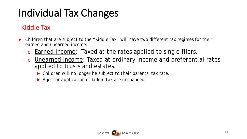#### Kiddie Tax

- Children that are subject to the "Kiddie Tax" will have two different tax regimes for their earned and unearned income:
	- o Earned Income: Taxed at the rates applied to single filers.
	- o Unearned Income: Taxed at ordinary income and preferential rates applied to trusts and estates.
		- *Children will no longer be subject to their parents' tax rate.*
		- *Ages for application of kiddie tax are unchanged*

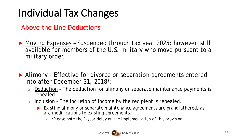Above-the-Line Deductions

- *Moving Expenses* Suspended through tax year 2025; however, still available for members of the U.S. military who move pursuant to a military order.
- *Alimony* Effective for divorce or separation agreements entered into after December 31, 2018\*:
	- o Deduction The deduction for alimony or separate maintenance payments is repealed.
	- o Inclusion The inclusion of income by the recipient is repealed.
		- *Existing alimony or separate maintenance agreements are grandfathered, as are modifications to existing agreements.* 
			- *\*Please note the 1-year delay on the implementation of this provision*

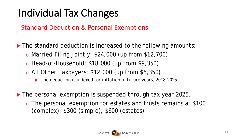#### Standard Deduction & Personal Exemptions

The standard deduction is increased to the following amounts:

- o Married Filing Jointly: \$24,000 (up from \$12,700)
- o Head-of-Household: \$18,000 (up from \$9,350)
- o All Other Taxpayers: \$12,000 (up from \$6,350)
	- *The deduction is indexed for inflation in future years, 2018-2025*
- The personal exemption is suspended through tax year 2025.
	- o The personal exemption for estates and trusts remains at \$100 (complex), \$300 (simple), \$600 (estates).

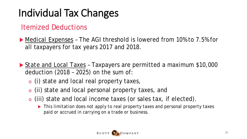#### Itemized Deductions

 *Medical Expenses* – The AGI threshold is lowered from 10% to 7.5% for all taxpayers for tax years 2017 and 2018.

- *State and Local Taxes* Taxpayers are permitted a maximum \$10,000 deduction (2018 – 2025) on the sum of:
	- o (i) state and local real property taxes,
	- o (ii) state and local personal property taxes, and
	- o (iii) state and local income taxes (or sales tax, if elected).
		- *This limitation does not apply to real property taxes and personal property taxes paid or accrued in carrying on a trade or business.*

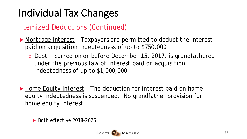Itemized Deductions (Continued)

- *Mortgage Interest –* Taxpayers are permitted to deduct the interest paid on acquisition indebtedness of up to \$750,000.
	- o *Debt incurred on or before December 15, 2017, is grandfathered under the previous law of interest paid on acquisition indebtedness of up to \$1,000,000.*

 *Home Equity Interest –* The deduction for interest paid on home equity indebtedness is suspended. No grandfather provision for home equity interest.

 $\triangleright$  Both effective 2018-2025

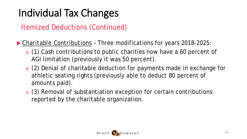Itemized Deductions (Continued)

- *Charitable Contributions* Three modifications for years 2018-2025:
	- o (1) Cash contributions to public charities now have a 60 percent of AGI limitation (previously it was 50 percent).
	- o (2) Denial of charitable deduction for payments made in exchange for athletic seating rights (previously able to deduct 80 percent of amounts paid).
	- o (3) Removal of substantiation exception for certain contributions reported by the charitable organization.

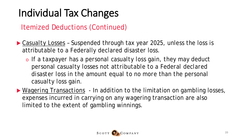Itemized Deductions (Continued)

- *Casualty Losses* Suspended through tax year 2025, unless the loss is attributable to a Federally declared disaster loss.
	- o *If a taxpayer has a personal casualty loss gain, they may deduct personal casualty losses not attributable to a Federal declared disaster loss in the amount equal to no more than the personal casualty loss gain.*
- *Wagering Transactions* In addition to the limitation on gambling losses, expenses incurred in carrying on any wagering transaction are also limited to the extent of gambling winnings.

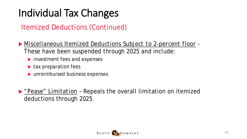Itemized Deductions (Continued)

 *Miscellaneous Itemized Deductions Subject to 2-percent floor -* These have been suspended through 2025 and include:

- ▶ investment fees and expenses
- ▶ tax preparation fees
- **D** unreimbursed business expenses

 *"Pease" Limitation* – Repeals the overall limitation on itemized deductions through 2025.

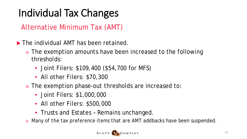Alternative Minimum Tax (AMT)

- The individual AMT has been retained.
	- o The exemption amounts have been increased to the following thresholds:
		- Joint Filers: \$109,400 (\$54,700 for MFS)
		- All other Filers: \$70,300
	- o The exemption phase-out thresholds are increased to:
		- Joint Filers: \$1,000,000
		- All other Filers: \$500,000
		- Trusts and Estates Remains unchanged.
	- Many of the tax preference items that are AMT addbacks have been suspended.

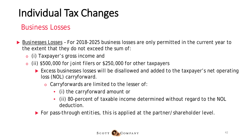#### Business Losses

- *Businesses Losses* For 2018-2025 business losses are only permitted in the current year to the extent that they do not exceed the sum of:
	- o (i) Taxpayer's gross income and
	- o (ii) \$500,000 for joint filers or \$250,000 for other taxpayers
		- **Excess businesses losses will be disallowed and added to the taxpayer's net operating** loss (NOL) carryforward.
			- o Carryforwards are limited to the lesser of:
				- (i) the carryforward amount or
				- (ii) 80-percent of taxable income determined without regard to the NOL deduction.
		- *For pass-through entities, this is applied at the partner/shareholder level.*

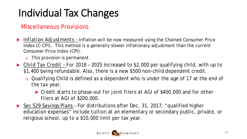#### Miscellaneous Provisions

- *Inflation Adjustments –* Inflation will be now measured using the Chained Consumer Price Index (C-CPI). This method is a generally slower inflationary adjustment than the current Consumer Price Index (CPI).
	- o This provision is permanent.
- *Child Tax Credit – For 2018 – 2025* Increased to \$2,000 per qualifying child, with up to \$1,400 being refundable. Also, there is a new \$500 non-child dependent credit.
	- o Qualifying Child is defined as a dependent who is under the age of 17 at the end of the tax year.
		- *Credit starts to phase-out for joint filers at AGI of \$400,000 and for other filers at AGI of \$200,000.*
- *Sec 529 Savings Plans –* For distributions after Dec. 31, 2017, "qualified higher education expenses" include tuition at an elementary or secondary public, private, or religious school, up to a \$10,000 limit per tax year.

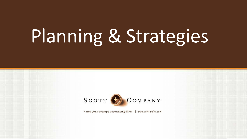

= not your average accounting firm www.scottandco.com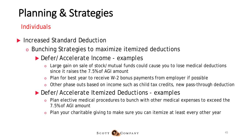#### Individuals

- *Increased Standard Deduction*
	- o Bunching Strategies to maximize itemized deductions
		- *Defer/Accelerate Income - examples*
			- o Large gain on sale of stock/mutual funds could cause you to lose medical deductions since it raises the 7.5% of AGI amount
			- o Plan for best year to receive W-2 bonus payments from employer if possible
			- o Other phase outs based on income such as child tax credits, new pass-through deduction
		- *Defer/Accelerate Itemized Deductions - examples*
			- o Plan elective medical procedures to bunch with other medical expenses to exceed the 7.5% of AGI amount
			- o Plan your charitable giving to make sure you can itemize at least every other year

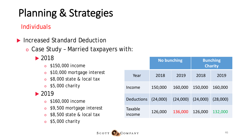#### Individuals

- *Increased Standard Deduction*
	- o Case Study Married taxpayers with:

#### *2018*

- o \$150,000 income
- o \$10,000 mortgage interest
- o \$8,000 state & local tax
- $\circ$  \$5,000 charity

#### *2019*

- o \$160,000 income
- o \$9,500 mortgage interest
- o \$8,500 state & local tax
- o \$5,000 charity

|                          | <b>No bunching</b> |          | <b>Bunching</b><br><b>Charity</b> |          |
|--------------------------|--------------------|----------|-----------------------------------|----------|
| Year                     | 2018               | 2019     | 2018                              | 2019     |
| Income                   | 150,000            | 160,000  | 150,000                           | 160,000  |
| <b>Deductions</b>        | (24,000)           | (24,000) | (24,000)                          | (28,000) |
| <b>Taxable</b><br>income | 126,000            | 136,000  | 126,000                           | 132,000  |

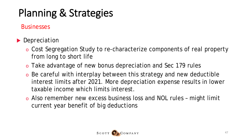#### **Businesses**

- *Depreciation*
	- o Cost Segregation Study to re-characterize components of real property from long to short life
	- o Take advantage of new bonus depreciation and Sec 179 rules
	- o Be careful with interplay between this strategy and new deductible interest limits after 2021. More depreciation expense results in lower taxable income which limits interest.
	- o Also remember new excess business loss and NOL rules might limit current year benefit of big deductions

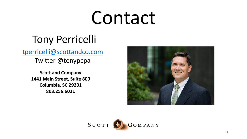## Contact

### Tony Perricelli

[tperricelli@scottandco.com](mailto:tperricelli@scottandco.com)

Twitter @tonypcpa

**Scott and Company 1441 Main Street, Suite 800 Columbia, SC 29201 803.256.6021**